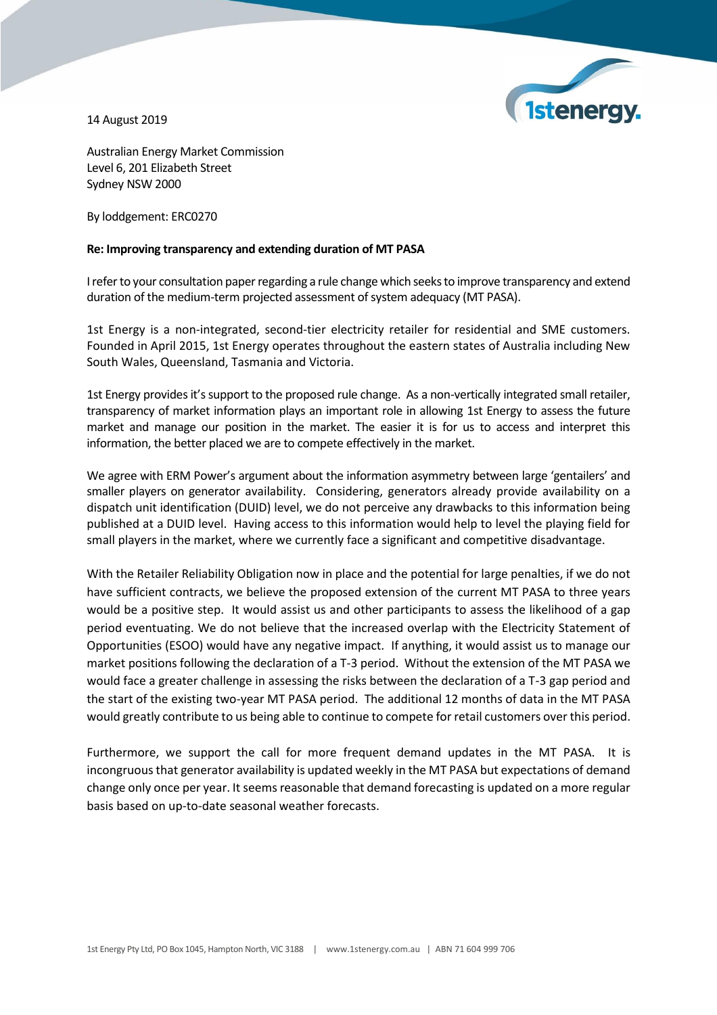

14 August 2019

Australian Energy Market Commission Level 6, 201 Elizabeth Street Sydney NSW 2000

By loddgement: ERC0270

## **Re: Improving transparency and extending duration of MT PASA**

I refer to your consultation paper regarding a rule change which seeks to improve transparency and extend duration of the medium-term projected assessment of system adequacy (MT PASA).

1st Energy is a non-integrated, second-tier electricity retailer for residential and SME customers. Founded in April 2015, 1st Energy operates throughout the eastern states of Australia including New South Wales, Queensland, Tasmania and Victoria.

1st Energy provides it's support to the proposed rule change. As a non-vertically integrated small retailer, transparency of market information plays an important role in allowing 1st Energy to assess the future market and manage our position in the market. The easier it is for us to access and interpret this information, the better placed we are to compete effectively in the market.

We agree with ERM Power's argument about the information asymmetry between large 'gentailers' and smaller players on generator availability. Considering, generators already provide availability on a dispatch unit identification (DUID) level, we do not perceive any drawbacks to this information being published at a DUID level. Having access to this information would help to level the playing field for small players in the market, where we currently face a significant and competitive disadvantage.

With the Retailer Reliability Obligation now in place and the potential for large penalties, if we do not have sufficient contracts, we believe the proposed extension of the current MT PASA to three years would be a positive step. It would assist us and other participants to assess the likelihood of a gap period eventuating. We do not believe that the increased overlap with the Electricity Statement of Opportunities (ESOO) would have any negative impact. If anything, it would assist us to manage our market positions following the declaration of a T-3 period. Without the extension of the MT PASA we would face a greater challenge in assessing the risks between the declaration of a T-3 gap period and the start of the existing two-year MT PASA period. The additional 12 months of data in the MT PASA would greatly contribute to us being able to continue to compete for retail customers over this period.

Furthermore, we support the call for more frequent demand updates in the MT PASA. It is incongruousthat generator availability is updated weekly in the MT PASA but expectations of demand change only once per year. It seems reasonable that demand forecasting is updated on a more regular basis based on up-to-date seasonal weather forecasts.